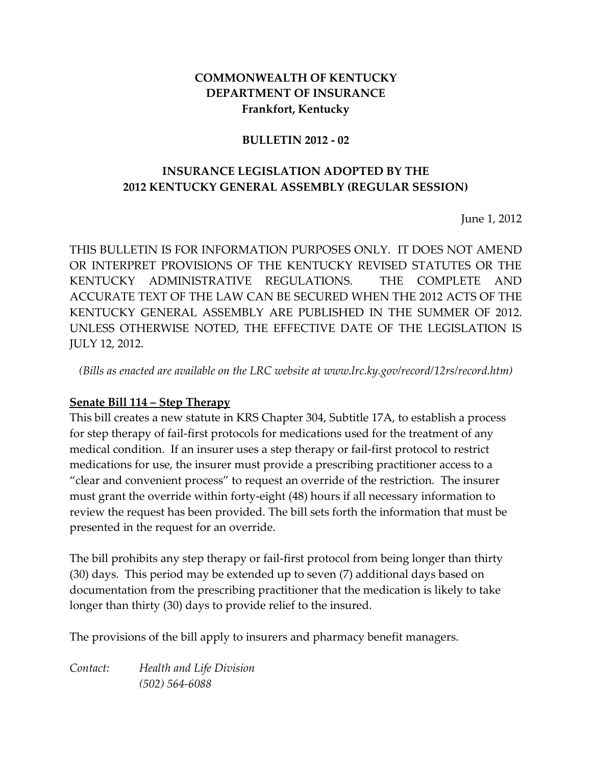### **COMMONWEALTH OF KENTUCKY DEPARTMENT OF INSURANCE Frankfort, Kentucky**

#### **BULLETIN 2012 - 02**

### **INSURANCE LEGISLATION ADOPTED BY THE 2012 KENTUCKY GENERAL ASSEMBLY (REGULAR SESSION)**

June 1, 2012

THIS BULLETIN IS FOR INFORMATION PURPOSES ONLY. IT DOES NOT AMEND OR INTERPRET PROVISIONS OF THE KENTUCKY REVISED STATUTES OR THE KENTUCKY ADMINISTRATIVE REGULATIONS. THE COMPLETE AND ACCURATE TEXT OF THE LAW CAN BE SECURED WHEN THE 2012 ACTS OF THE KENTUCKY GENERAL ASSEMBLY ARE PUBLISHED IN THE SUMMER OF 2012. UNLESS OTHERWISE NOTED, THE EFFECTIVE DATE OF THE LEGISLATION IS JULY 12, 2012.

*(Bills as enacted are available on the LRC website at www.lrc.ky.gov/record/12rs/record.htm)*

#### **Senate Bill 114 – Step Therapy**

This bill creates a new statute in KRS Chapter 304, Subtitle 17A, to establish a process for step therapy of fail-first protocols for medications used for the treatment of any medical condition. If an insurer uses a step therapy or fail-first protocol to restrict medications for use, the insurer must provide a prescribing practitioner access to a "clear and convenient process" to request an override of the restriction. The insurer must grant the override within forty-eight (48) hours if all necessary information to review the request has been provided. The bill sets forth the information that must be presented in the request for an override.

The bill prohibits any step therapy or fail-first protocol from being longer than thirty (30) days. This period may be extended up to seven (7) additional days based on documentation from the prescribing practitioner that the medication is likely to take longer than thirty (30) days to provide relief to the insured.

The provisions of the bill apply to insurers and pharmacy benefit managers.

*Contact: Health and Life Division (502) 564-6088*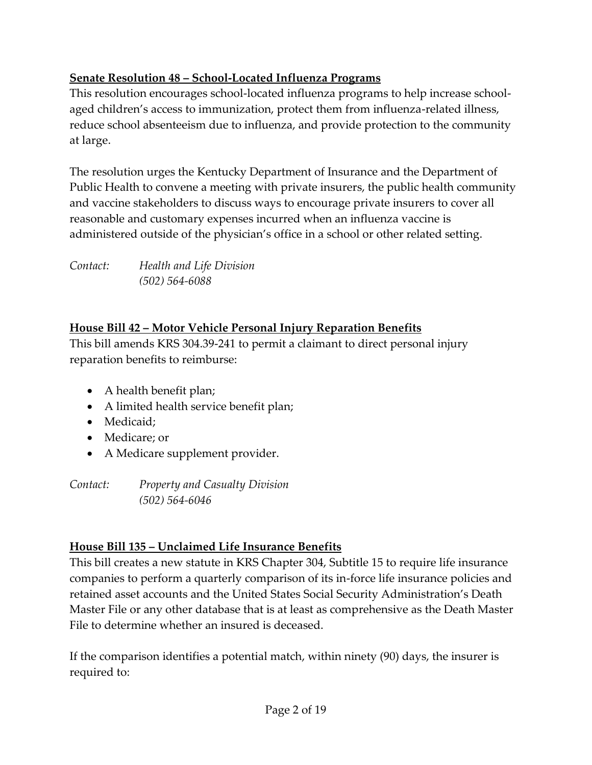## **Senate Resolution 48 – School-Located Influenza Programs**

This resolution encourages school-located influenza programs to help increase schoolaged children's access to immunization, protect them from influenza-related illness, reduce school absenteeism due to influenza, and provide protection to the community at large.

The resolution urges the Kentucky Department of Insurance and the Department of Public Health to convene a meeting with private insurers, the public health community and vaccine stakeholders to discuss ways to encourage private insurers to cover all reasonable and customary expenses incurred when an influenza vaccine is administered outside of the physician's office in a school or other related setting.

*Contact: Health and Life Division (502) 564-6088*

### **House Bill 42 – Motor Vehicle Personal Injury Reparation Benefits**

This bill amends KRS 304.39-241 to permit a claimant to direct personal injury reparation benefits to reimburse:

- A health benefit plan;
- A limited health service benefit plan;
- Medicaid:
- Medicare; or
- A Medicare supplement provider.

*Contact: Property and Casualty Division (502) 564-6046*

### **House Bill 135 – Unclaimed Life Insurance Benefits**

This bill creates a new statute in KRS Chapter 304, Subtitle 15 to require life insurance companies to perform a quarterly comparison of its in-force life insurance policies and retained asset accounts and the United States Social Security Administration's Death Master File or any other database that is at least as comprehensive as the Death Master File to determine whether an insured is deceased.

If the comparison identifies a potential match, within ninety (90) days, the insurer is required to: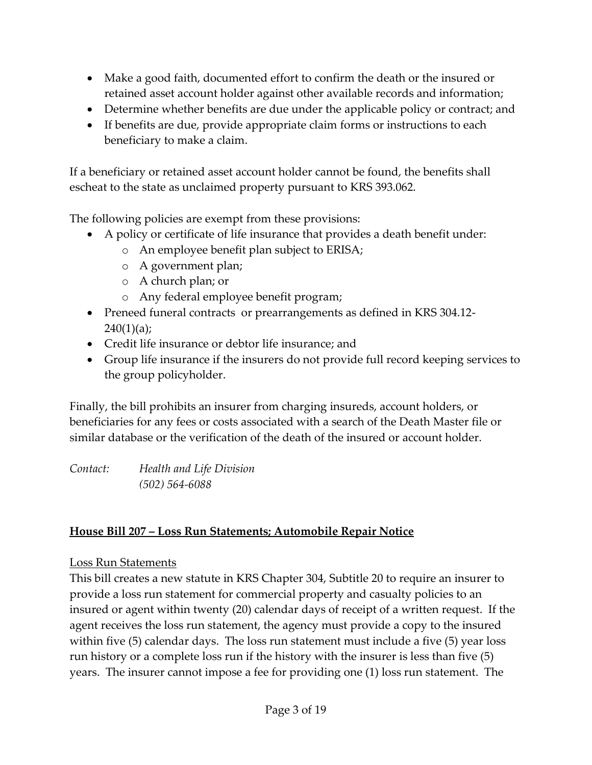- Make a good faith, documented effort to confirm the death or the insured or retained asset account holder against other available records and information;
- Determine whether benefits are due under the applicable policy or contract; and
- If benefits are due, provide appropriate claim forms or instructions to each beneficiary to make a claim.

If a beneficiary or retained asset account holder cannot be found, the benefits shall escheat to the state as unclaimed property pursuant to KRS 393.062.

The following policies are exempt from these provisions:

- A policy or certificate of life insurance that provides a death benefit under:
	- o An employee benefit plan subject to ERISA;
	- o A government plan;
	- o A church plan; or
	- o Any federal employee benefit program;
- Preneed funeral contracts or prearrangements as defined in KRS 304.12-  $240(1)(a);$
- Credit life insurance or debtor life insurance; and
- Group life insurance if the insurers do not provide full record keeping services to the group policyholder.

Finally, the bill prohibits an insurer from charging insureds, account holders, or beneficiaries for any fees or costs associated with a search of the Death Master file or similar database or the verification of the death of the insured or account holder.

*Contact: Health and Life Division (502) 564-6088*

### **House Bill 207 – Loss Run Statements; Automobile Repair Notice**

### Loss Run Statements

This bill creates a new statute in KRS Chapter 304, Subtitle 20 to require an insurer to provide a loss run statement for commercial property and casualty policies to an insured or agent within twenty (20) calendar days of receipt of a written request. If the agent receives the loss run statement, the agency must provide a copy to the insured within five (5) calendar days. The loss run statement must include a five (5) year loss run history or a complete loss run if the history with the insurer is less than five (5) years. The insurer cannot impose a fee for providing one (1) loss run statement. The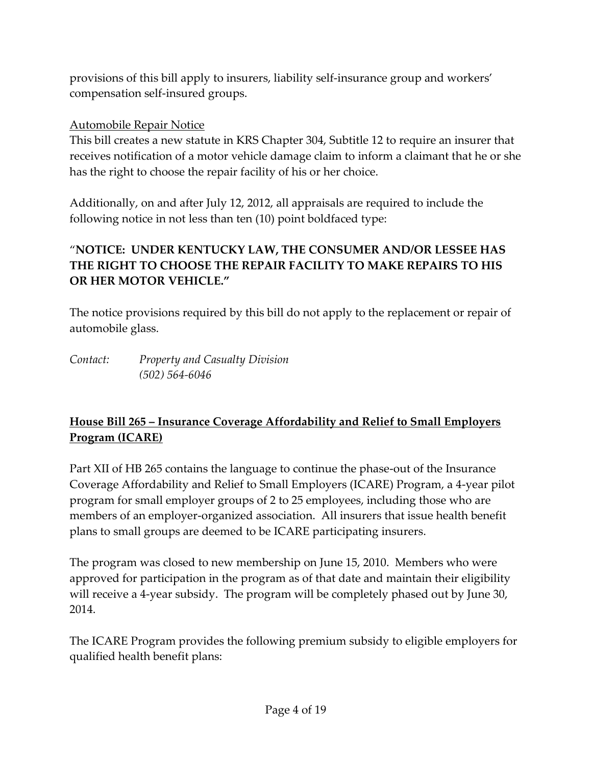provisions of this bill apply to insurers, liability self-insurance group and workers' compensation self-insured groups.

### Automobile Repair Notice

This bill creates a new statute in KRS Chapter 304, Subtitle 12 to require an insurer that receives notification of a motor vehicle damage claim to inform a claimant that he or she has the right to choose the repair facility of his or her choice.

Additionally, on and after July 12, 2012, all appraisals are required to include the following notice in not less than ten (10) point boldfaced type:

### "**NOTICE: UNDER KENTUCKY LAW, THE CONSUMER AND/OR LESSEE HAS THE RIGHT TO CHOOSE THE REPAIR FACILITY TO MAKE REPAIRS TO HIS OR HER MOTOR VEHICLE."**

The notice provisions required by this bill do not apply to the replacement or repair of automobile glass.

*Contact: Property and Casualty Division (502) 564-6046*

### **House Bill 265 – Insurance Coverage Affordability and Relief to Small Employers Program (ICARE)**

Part XII of HB 265 contains the language to continue the phase-out of the Insurance Coverage Affordability and Relief to Small Employers (ICARE) Program, a 4-year pilot program for small employer groups of 2 to 25 employees, including those who are members of an employer-organized association. All insurers that issue health benefit plans to small groups are deemed to be ICARE participating insurers.

The program was closed to new membership on June 15, 2010. Members who were approved for participation in the program as of that date and maintain their eligibility will receive a 4-year subsidy. The program will be completely phased out by June 30, 2014.

The ICARE Program provides the following premium subsidy to eligible employers for qualified health benefit plans: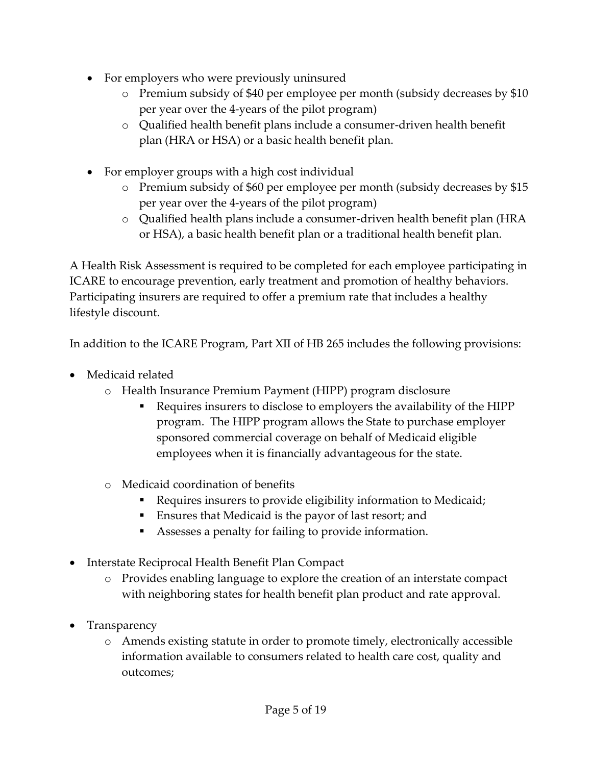- For employers who were previously uninsured
	- o Premium subsidy of \$40 per employee per month (subsidy decreases by \$10 per year over the 4-years of the pilot program)
	- o Qualified health benefit plans include a consumer-driven health benefit plan (HRA or HSA) or a basic health benefit plan.
- For employer groups with a high cost individual
	- o Premium subsidy of \$60 per employee per month (subsidy decreases by \$15 per year over the 4-years of the pilot program)
	- o Qualified health plans include a consumer-driven health benefit plan (HRA or HSA), a basic health benefit plan or a traditional health benefit plan.

A Health Risk Assessment is required to be completed for each employee participating in ICARE to encourage prevention, early treatment and promotion of healthy behaviors. Participating insurers are required to offer a premium rate that includes a healthy lifestyle discount.

In addition to the ICARE Program, Part XII of HB 265 includes the following provisions:

- Medicaid related
	- o Health Insurance Premium Payment (HIPP) program disclosure
		- Requires insurers to disclose to employers the availability of the HIPP program. The HIPP program allows the State to purchase employer sponsored commercial coverage on behalf of Medicaid eligible employees when it is financially advantageous for the state.
	- o Medicaid coordination of benefits
		- Requires insurers to provide eligibility information to Medicaid;
		- Ensures that Medicaid is the payor of last resort; and
		- Assesses a penalty for failing to provide information.
- Interstate Reciprocal Health Benefit Plan Compact
	- o Provides enabling language to explore the creation of an interstate compact with neighboring states for health benefit plan product and rate approval.
- Transparency
	- o Amends existing statute in order to promote timely, electronically accessible information available to consumers related to health care cost, quality and outcomes;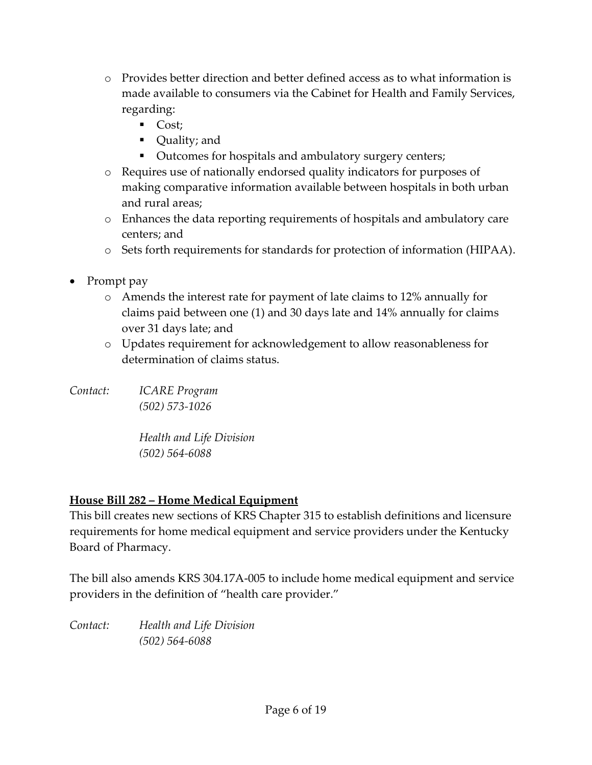- o Provides better direction and better defined access as to what information is made available to consumers via the Cabinet for Health and Family Services, regarding:
	- $\overline{\phantom{a}}$  Cost;
	- Quality; and
	- Outcomes for hospitals and ambulatory surgery centers;
- o Requires use of nationally endorsed quality indicators for purposes of making comparative information available between hospitals in both urban and rural areas;
- o Enhances the data reporting requirements of hospitals and ambulatory care centers; and
- o Sets forth requirements for standards for protection of information (HIPAA).
- Prompt pay
	- o Amends the interest rate for payment of late claims to 12% annually for claims paid between one (1) and 30 days late and 14% annually for claims over 31 days late; and
	- o Updates requirement for acknowledgement to allow reasonableness for determination of claims status.

*Contact: ICARE Program (502) 573-1026*

> *Health and Life Division (502) 564-6088*

# **House Bill 282 – Home Medical Equipment**

This bill creates new sections of KRS Chapter 315 to establish definitions and licensure requirements for home medical equipment and service providers under the Kentucky Board of Pharmacy.

The bill also amends KRS 304.17A-005 to include home medical equipment and service providers in the definition of "health care provider."

*Contact: Health and Life Division (502) 564-6088*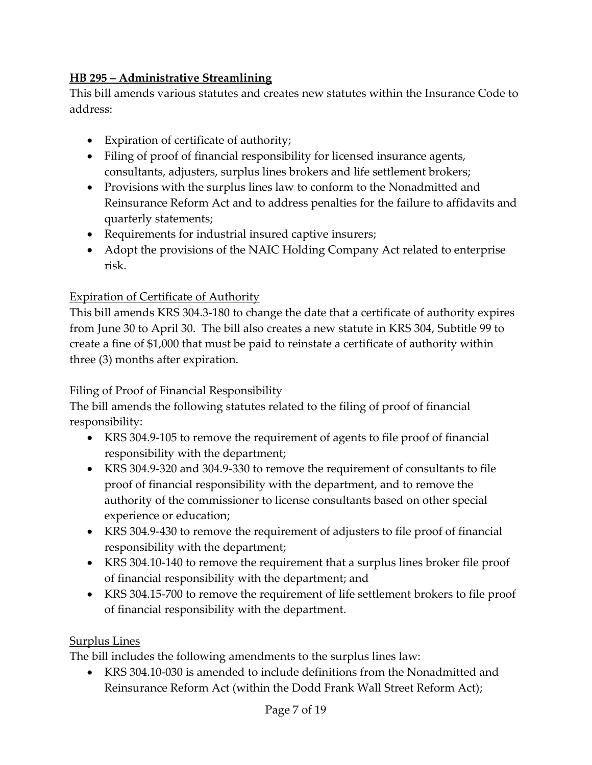### **HB 295 – Administrative Streamlining**

This bill amends various statutes and creates new statutes within the Insurance Code to address:

- Expiration of certificate of authority;
- Filing of proof of financial responsibility for licensed insurance agents, consultants, adjusters, surplus lines brokers and life settlement brokers;
- Provisions with the surplus lines law to conform to the Nonadmitted and Reinsurance Reform Act and to address penalties for the failure to affidavits and quarterly statements;
- Requirements for industrial insured captive insurers;
- Adopt the provisions of the NAIC Holding Company Act related to enterprise risk.

### Expiration of Certificate of Authority

This bill amends KRS 304.3-180 to change the date that a certificate of authority expires from June 30 to April 30. The bill also creates a new statute in KRS 304, Subtitle 99 to create a fine of \$1,000 that must be paid to reinstate a certificate of authority within three (3) months after expiration.

### Filing of Proof of Financial Responsibility

The bill amends the following statutes related to the filing of proof of financial responsibility:

- KRS 304.9-105 to remove the requirement of agents to file proof of financial responsibility with the department;
- KRS 304.9-320 and 304.9-330 to remove the requirement of consultants to file proof of financial responsibility with the department, and to remove the authority of the commissioner to license consultants based on other special experience or education;
- KRS 304.9-430 to remove the requirement of adjusters to file proof of financial responsibility with the department;
- KRS 304.10-140 to remove the requirement that a surplus lines broker file proof of financial responsibility with the department; and
- KRS 304.15-700 to remove the requirement of life settlement brokers to file proof of financial responsibility with the department.

### Surplus Lines

The bill includes the following amendments to the surplus lines law:

 KRS 304.10-030 is amended to include definitions from the Nonadmitted and Reinsurance Reform Act (within the Dodd Frank Wall Street Reform Act);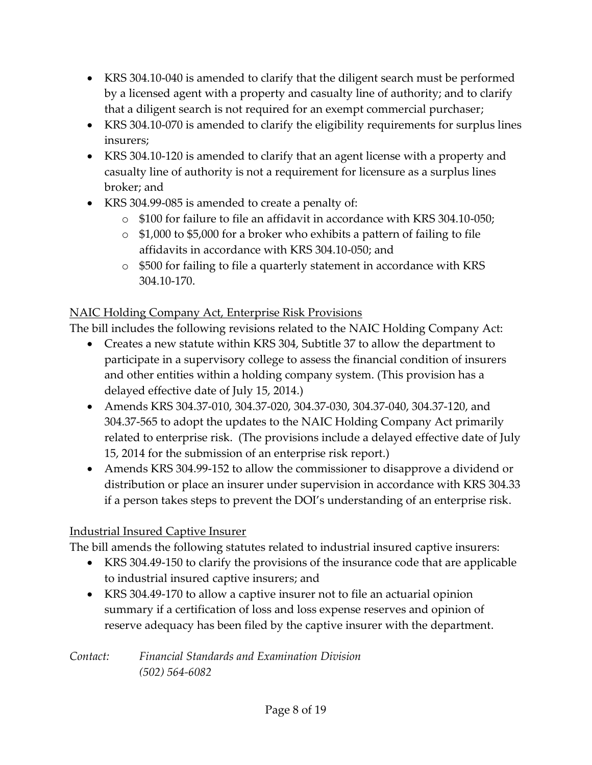- KRS 304.10-040 is amended to clarify that the diligent search must be performed by a licensed agent with a property and casualty line of authority; and to clarify that a diligent search is not required for an exempt commercial purchaser;
- KRS 304.10-070 is amended to clarify the eligibility requirements for surplus lines insurers;
- KRS 304.10-120 is amended to clarify that an agent license with a property and casualty line of authority is not a requirement for licensure as a surplus lines broker; and
- KRS 304.99-085 is amended to create a penalty of:
	- o \$100 for failure to file an affidavit in accordance with KRS 304.10-050;
	- o \$1,000 to \$5,000 for a broker who exhibits a pattern of failing to file affidavits in accordance with KRS 304.10-050; and
	- o \$500 for failing to file a quarterly statement in accordance with KRS 304.10-170.

## NAIC Holding Company Act, Enterprise Risk Provisions

The bill includes the following revisions related to the NAIC Holding Company Act:

- Creates a new statute within KRS 304, Subtitle 37 to allow the department to participate in a supervisory college to assess the financial condition of insurers and other entities within a holding company system. (This provision has a delayed effective date of July 15, 2014.)
- Amends KRS 304.37-010, 304.37-020, 304.37-030, 304.37-040, 304.37-120, and 304.37-565 to adopt the updates to the NAIC Holding Company Act primarily related to enterprise risk. (The provisions include a delayed effective date of July 15, 2014 for the submission of an enterprise risk report.)
- Amends KRS 304.99-152 to allow the commissioner to disapprove a dividend or distribution or place an insurer under supervision in accordance with KRS 304.33 if a person takes steps to prevent the DOI's understanding of an enterprise risk.

# Industrial Insured Captive Insurer

The bill amends the following statutes related to industrial insured captive insurers:

- KRS 304.49-150 to clarify the provisions of the insurance code that are applicable to industrial insured captive insurers; and
- KRS 304.49-170 to allow a captive insurer not to file an actuarial opinion summary if a certification of loss and loss expense reserves and opinion of reserve adequacy has been filed by the captive insurer with the department.

*Contact: Financial Standards and Examination Division (502) 564-6082*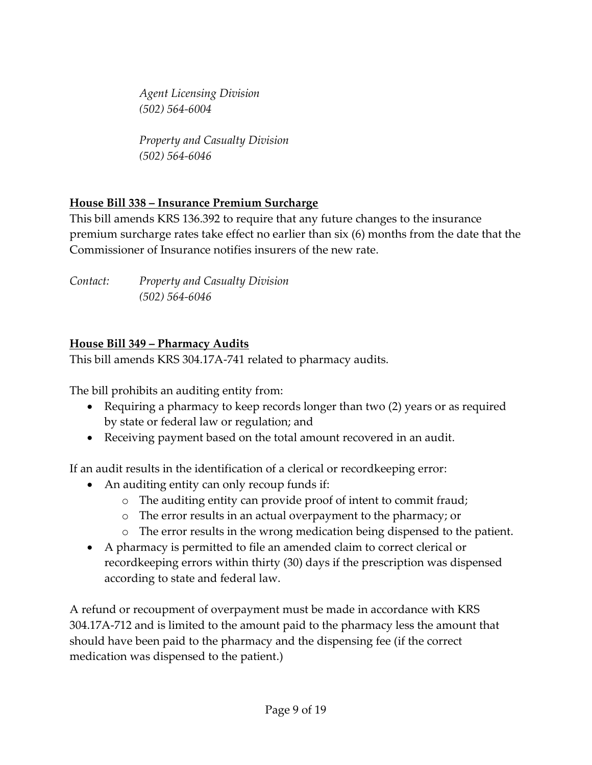*Agent Licensing Division (502) 564-6004*

*Property and Casualty Division (502) 564-6046*

# **House Bill 338 – Insurance Premium Surcharge**

This bill amends KRS 136.392 to require that any future changes to the insurance premium surcharge rates take effect no earlier than six (6) months from the date that the Commissioner of Insurance notifies insurers of the new rate.

| Contact: | <b>Property and Casualty Division</b> |
|----------|---------------------------------------|
|          | $(502) 564 - 6046$                    |

### **House Bill 349 – Pharmacy Audits**

This bill amends KRS 304.17A-741 related to pharmacy audits.

The bill prohibits an auditing entity from:

- Requiring a pharmacy to keep records longer than two (2) years or as required by state or federal law or regulation; and
- Receiving payment based on the total amount recovered in an audit.

If an audit results in the identification of a clerical or recordkeeping error:

- An auditing entity can only recoup funds if:
	- o The auditing entity can provide proof of intent to commit fraud;
	- o The error results in an actual overpayment to the pharmacy; or
	- o The error results in the wrong medication being dispensed to the patient.
- A pharmacy is permitted to file an amended claim to correct clerical or recordkeeping errors within thirty (30) days if the prescription was dispensed according to state and federal law.

A refund or recoupment of overpayment must be made in accordance with KRS 304.17A-712 and is limited to the amount paid to the pharmacy less the amount that should have been paid to the pharmacy and the dispensing fee (if the correct medication was dispensed to the patient.)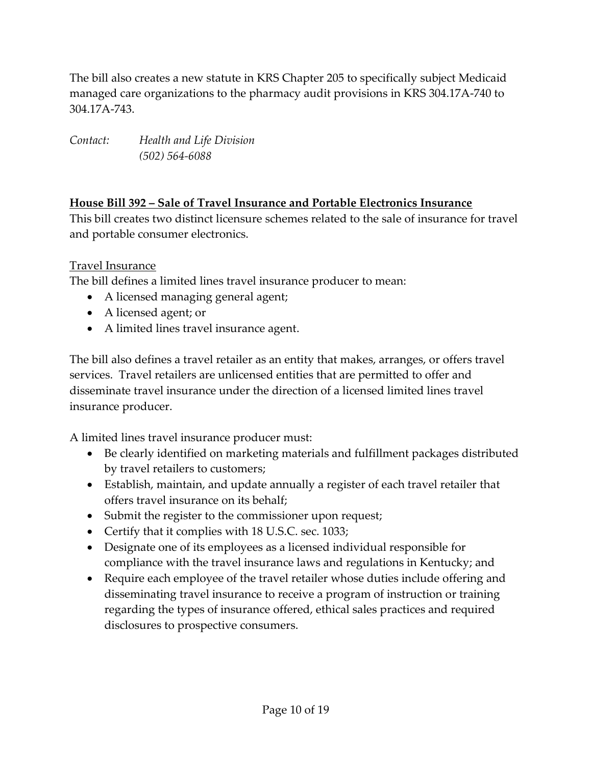The bill also creates a new statute in KRS Chapter 205 to specifically subject Medicaid managed care organizations to the pharmacy audit provisions in KRS 304.17A-740 to 304.17A-743.

*Contact: Health and Life Division (502) 564-6088*

### **House Bill 392 – Sale of Travel Insurance and Portable Electronics Insurance**

This bill creates two distinct licensure schemes related to the sale of insurance for travel and portable consumer electronics.

Travel Insurance

The bill defines a limited lines travel insurance producer to mean:

- A licensed managing general agent;
- A licensed agent; or
- A limited lines travel insurance agent.

The bill also defines a travel retailer as an entity that makes, arranges, or offers travel services. Travel retailers are unlicensed entities that are permitted to offer and disseminate travel insurance under the direction of a licensed limited lines travel insurance producer.

A limited lines travel insurance producer must:

- Be clearly identified on marketing materials and fulfillment packages distributed by travel retailers to customers;
- Establish, maintain, and update annually a register of each travel retailer that offers travel insurance on its behalf;
- Submit the register to the commissioner upon request;
- Certify that it complies with 18 U.S.C. sec. 1033;
- Designate one of its employees as a licensed individual responsible for compliance with the travel insurance laws and regulations in Kentucky; and
- Require each employee of the travel retailer whose duties include offering and disseminating travel insurance to receive a program of instruction or training regarding the types of insurance offered, ethical sales practices and required disclosures to prospective consumers.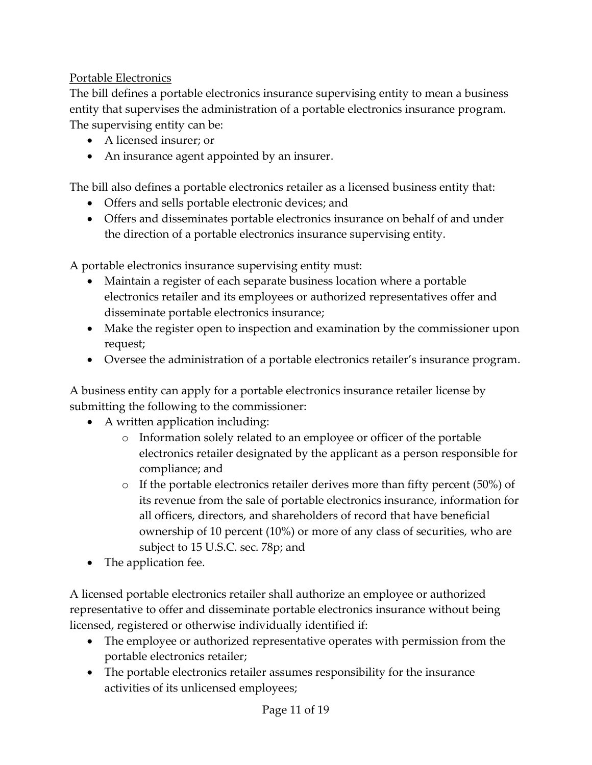### Portable Electronics

The bill defines a portable electronics insurance supervising entity to mean a business entity that supervises the administration of a portable electronics insurance program. The supervising entity can be:

- A licensed insurer; or
- An insurance agent appointed by an insurer.

The bill also defines a portable electronics retailer as a licensed business entity that:

- Offers and sells portable electronic devices; and
- Offers and disseminates portable electronics insurance on behalf of and under the direction of a portable electronics insurance supervising entity.

A portable electronics insurance supervising entity must:

- Maintain a register of each separate business location where a portable electronics retailer and its employees or authorized representatives offer and disseminate portable electronics insurance;
- Make the register open to inspection and examination by the commissioner upon request;
- Oversee the administration of a portable electronics retailer's insurance program.

A business entity can apply for a portable electronics insurance retailer license by submitting the following to the commissioner:

- A written application including:
	- o Information solely related to an employee or officer of the portable electronics retailer designated by the applicant as a person responsible for compliance; and
	- o If the portable electronics retailer derives more than fifty percent (50%) of its revenue from the sale of portable electronics insurance, information for all officers, directors, and shareholders of record that have beneficial ownership of 10 percent (10%) or more of any class of securities, who are subject to 15 U.S.C. sec. 78p; and
- The application fee.

A licensed portable electronics retailer shall authorize an employee or authorized representative to offer and disseminate portable electronics insurance without being licensed, registered or otherwise individually identified if:

- The employee or authorized representative operates with permission from the portable electronics retailer;
- The portable electronics retailer assumes responsibility for the insurance activities of its unlicensed employees;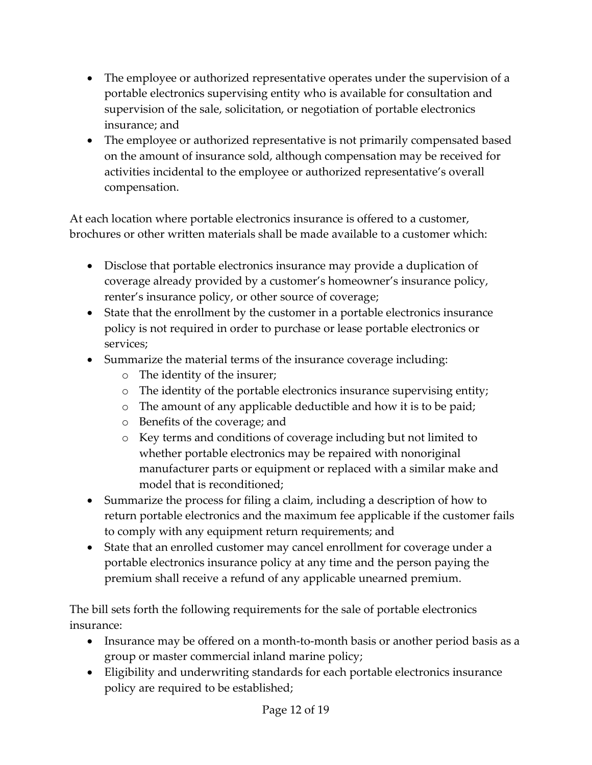- The employee or authorized representative operates under the supervision of a portable electronics supervising entity who is available for consultation and supervision of the sale, solicitation, or negotiation of portable electronics insurance; and
- The employee or authorized representative is not primarily compensated based on the amount of insurance sold, although compensation may be received for activities incidental to the employee or authorized representative's overall compensation.

At each location where portable electronics insurance is offered to a customer, brochures or other written materials shall be made available to a customer which:

- Disclose that portable electronics insurance may provide a duplication of coverage already provided by a customer's homeowner's insurance policy, renter's insurance policy, or other source of coverage;
- State that the enrollment by the customer in a portable electronics insurance policy is not required in order to purchase or lease portable electronics or services;
- Summarize the material terms of the insurance coverage including:
	- o The identity of the insurer;
	- o The identity of the portable electronics insurance supervising entity;
	- o The amount of any applicable deductible and how it is to be paid;
	- o Benefits of the coverage; and
	- o Key terms and conditions of coverage including but not limited to whether portable electronics may be repaired with nonoriginal manufacturer parts or equipment or replaced with a similar make and model that is reconditioned;
- Summarize the process for filing a claim, including a description of how to return portable electronics and the maximum fee applicable if the customer fails to comply with any equipment return requirements; and
- State that an enrolled customer may cancel enrollment for coverage under a portable electronics insurance policy at any time and the person paying the premium shall receive a refund of any applicable unearned premium.

The bill sets forth the following requirements for the sale of portable electronics insurance:

- Insurance may be offered on a month-to-month basis or another period basis as a group or master commercial inland marine policy;
- Eligibility and underwriting standards for each portable electronics insurance policy are required to be established;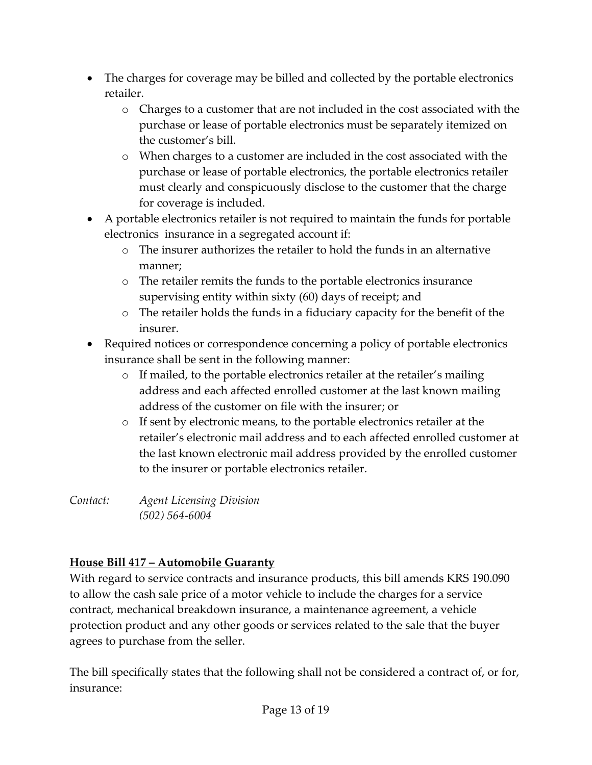- The charges for coverage may be billed and collected by the portable electronics retailer.
	- o Charges to a customer that are not included in the cost associated with the purchase or lease of portable electronics must be separately itemized on the customer's bill.
	- o When charges to a customer are included in the cost associated with the purchase or lease of portable electronics, the portable electronics retailer must clearly and conspicuously disclose to the customer that the charge for coverage is included.
- A portable electronics retailer is not required to maintain the funds for portable electronics insurance in a segregated account if:
	- o The insurer authorizes the retailer to hold the funds in an alternative manner;
	- o The retailer remits the funds to the portable electronics insurance supervising entity within sixty (60) days of receipt; and
	- o The retailer holds the funds in a fiduciary capacity for the benefit of the insurer.
- Required notices or correspondence concerning a policy of portable electronics insurance shall be sent in the following manner:
	- o If mailed, to the portable electronics retailer at the retailer's mailing address and each affected enrolled customer at the last known mailing address of the customer on file with the insurer; or
	- o If sent by electronic means, to the portable electronics retailer at the retailer's electronic mail address and to each affected enrolled customer at the last known electronic mail address provided by the enrolled customer to the insurer or portable electronics retailer.

*Contact: Agent Licensing Division (502) 564-6004*

# **House Bill 417 – Automobile Guaranty**

With regard to service contracts and insurance products, this bill amends KRS 190.090 to allow the cash sale price of a motor vehicle to include the charges for a service contract, mechanical breakdown insurance, a maintenance agreement, a vehicle protection product and any other goods or services related to the sale that the buyer agrees to purchase from the seller.

The bill specifically states that the following shall not be considered a contract of, or for, insurance: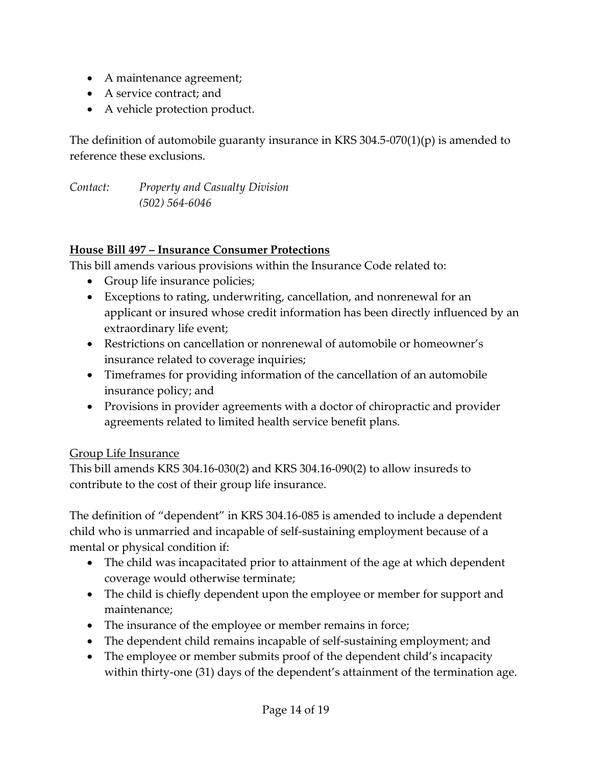- A maintenance agreement;
- A service contract; and
- A vehicle protection product.

The definition of automobile guaranty insurance in KRS 304.5-070(1)(p) is amended to reference these exclusions.

*Contact: Property and Casualty Division (502) 564-6046*

### **House Bill 497 – Insurance Consumer Protections**

This bill amends various provisions within the Insurance Code related to:

- Group life insurance policies;
- Exceptions to rating, underwriting, cancellation, and nonrenewal for an applicant or insured whose credit information has been directly influenced by an extraordinary life event;
- Restrictions on cancellation or nonrenewal of automobile or homeowner's insurance related to coverage inquiries;
- Timeframes for providing information of the cancellation of an automobile insurance policy; and
- Provisions in provider agreements with a doctor of chiropractic and provider agreements related to limited health service benefit plans.

### Group Life Insurance

This bill amends KRS 304.16-030(2) and KRS 304.16-090(2) to allow insureds to contribute to the cost of their group life insurance.

The definition of "dependent" in KRS 304.16-085 is amended to include a dependent child who is unmarried and incapable of self-sustaining employment because of a mental or physical condition if:

- The child was incapacitated prior to attainment of the age at which dependent coverage would otherwise terminate;
- The child is chiefly dependent upon the employee or member for support and maintenance;
- The insurance of the employee or member remains in force;
- The dependent child remains incapable of self-sustaining employment; and
- The employee or member submits proof of the dependent child's incapacity within thirty-one (31) days of the dependent's attainment of the termination age.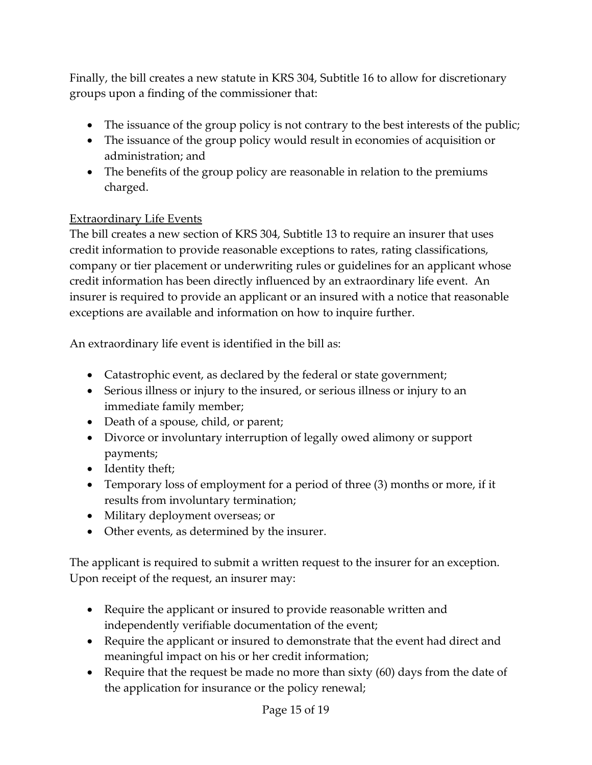Finally, the bill creates a new statute in KRS 304, Subtitle 16 to allow for discretionary groups upon a finding of the commissioner that:

- The issuance of the group policy is not contrary to the best interests of the public;
- The issuance of the group policy would result in economies of acquisition or administration; and
- The benefits of the group policy are reasonable in relation to the premiums charged.

### Extraordinary Life Events

The bill creates a new section of KRS 304, Subtitle 13 to require an insurer that uses credit information to provide reasonable exceptions to rates, rating classifications, company or tier placement or underwriting rules or guidelines for an applicant whose credit information has been directly influenced by an extraordinary life event. An insurer is required to provide an applicant or an insured with a notice that reasonable exceptions are available and information on how to inquire further.

An extraordinary life event is identified in the bill as:

- Catastrophic event, as declared by the federal or state government;
- Serious illness or injury to the insured, or serious illness or injury to an immediate family member;
- Death of a spouse, child, or parent;
- Divorce or involuntary interruption of legally owed alimony or support payments;
- Identity theft;
- Temporary loss of employment for a period of three (3) months or more, if it results from involuntary termination;
- Military deployment overseas; or
- Other events, as determined by the insurer.

The applicant is required to submit a written request to the insurer for an exception. Upon receipt of the request, an insurer may:

- Require the applicant or insured to provide reasonable written and independently verifiable documentation of the event;
- Require the applicant or insured to demonstrate that the event had direct and meaningful impact on his or her credit information;
- Require that the request be made no more than sixty (60) days from the date of the application for insurance or the policy renewal;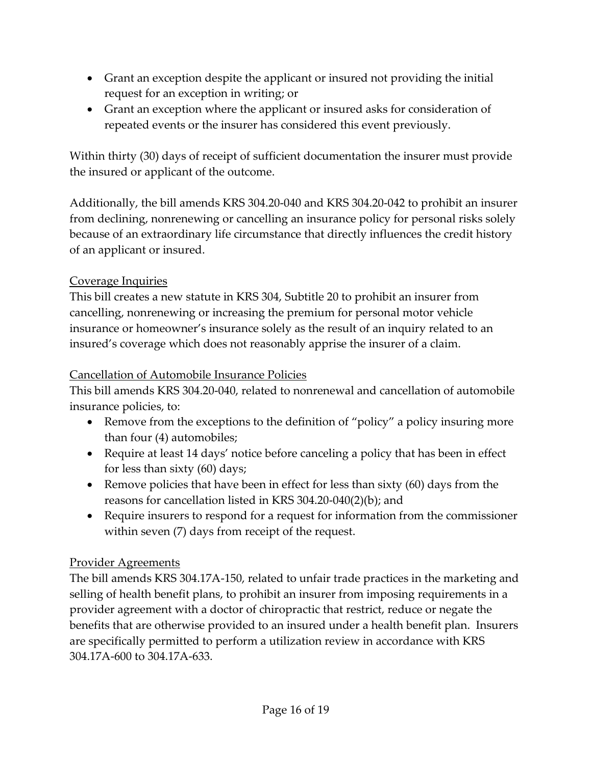- Grant an exception despite the applicant or insured not providing the initial request for an exception in writing; or
- Grant an exception where the applicant or insured asks for consideration of repeated events or the insurer has considered this event previously.

Within thirty (30) days of receipt of sufficient documentation the insurer must provide the insured or applicant of the outcome.

Additionally, the bill amends KRS 304.20-040 and KRS 304.20-042 to prohibit an insurer from declining, nonrenewing or cancelling an insurance policy for personal risks solely because of an extraordinary life circumstance that directly influences the credit history of an applicant or insured.

### Coverage Inquiries

This bill creates a new statute in KRS 304, Subtitle 20 to prohibit an insurer from cancelling, nonrenewing or increasing the premium for personal motor vehicle insurance or homeowner's insurance solely as the result of an inquiry related to an insured's coverage which does not reasonably apprise the insurer of a claim.

### Cancellation of Automobile Insurance Policies

This bill amends KRS 304.20-040, related to nonrenewal and cancellation of automobile insurance policies, to:

- Remove from the exceptions to the definition of "policy" a policy insuring more than four (4) automobiles;
- Require at least 14 days' notice before canceling a policy that has been in effect for less than sixty (60) days;
- Remove policies that have been in effect for less than sixty (60) days from the reasons for cancellation listed in KRS 304.20-040(2)(b); and
- Require insurers to respond for a request for information from the commissioner within seven (7) days from receipt of the request.

### Provider Agreements

The bill amends KRS 304.17A-150, related to unfair trade practices in the marketing and selling of health benefit plans, to prohibit an insurer from imposing requirements in a provider agreement with a doctor of chiropractic that restrict, reduce or negate the benefits that are otherwise provided to an insured under a health benefit plan. Insurers are specifically permitted to perform a utilization review in accordance with KRS 304.17A-600 to 304.17A-633.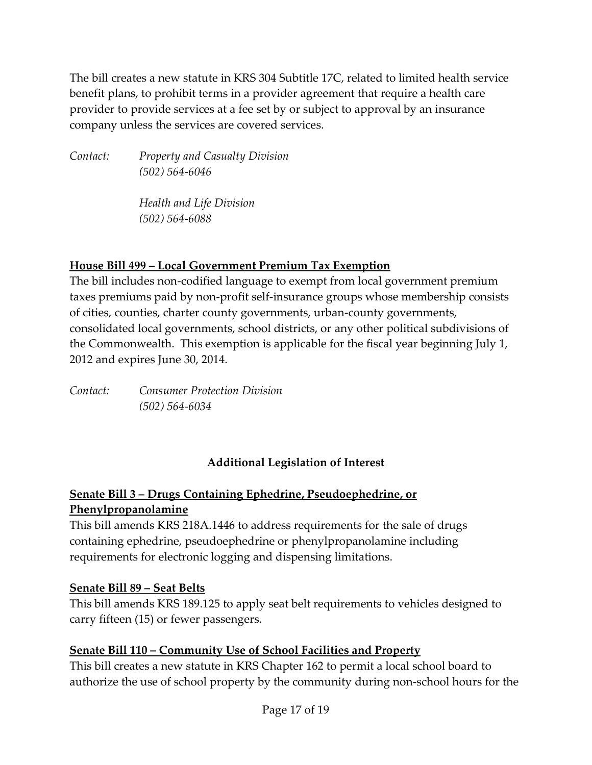The bill creates a new statute in KRS 304 Subtitle 17C, related to limited health service benefit plans, to prohibit terms in a provider agreement that require a health care provider to provide services at a fee set by or subject to approval by an insurance company unless the services are covered services.

*Contact: Property and Casualty Division (502) 564-6046*

> *Health and Life Division (502) 564-6088*

### **House Bill 499 – Local Government Premium Tax Exemption**

The bill includes non-codified language to exempt from local government premium taxes premiums paid by non-profit self-insurance groups whose membership consists of cities, counties, charter county governments, urban-county governments, consolidated local governments, school districts, or any other political subdivisions of the Commonwealth. This exemption is applicable for the fiscal year beginning July 1, 2012 and expires June 30, 2014.

*Contact: Consumer Protection Division (502) 564-6034*

# **Additional Legislation of Interest**

# **Senate Bill 3 – Drugs Containing Ephedrine, Pseudoephedrine, or Phenylpropanolamine**

This bill amends KRS 218A.1446 to address requirements for the sale of drugs containing ephedrine, pseudoephedrine or phenylpropanolamine including requirements for electronic logging and dispensing limitations.

### **Senate Bill 89 – Seat Belts**

This bill amends KRS 189.125 to apply seat belt requirements to vehicles designed to carry fifteen (15) or fewer passengers.

# **Senate Bill 110 – Community Use of School Facilities and Property**

This bill creates a new statute in KRS Chapter 162 to permit a local school board to authorize the use of school property by the community during non-school hours for the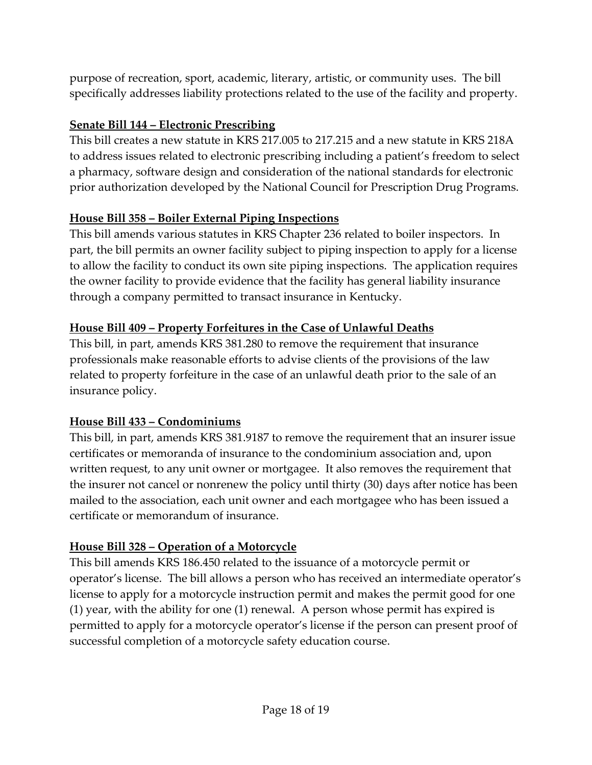purpose of recreation, sport, academic, literary, artistic, or community uses. The bill specifically addresses liability protections related to the use of the facility and property.

### **Senate Bill 144 – Electronic Prescribing**

This bill creates a new statute in KRS 217.005 to 217.215 and a new statute in KRS 218A to address issues related to electronic prescribing including a patient's freedom to select a pharmacy, software design and consideration of the national standards for electronic prior authorization developed by the National Council for Prescription Drug Programs.

## **House Bill 358 – Boiler External Piping Inspections**

This bill amends various statutes in KRS Chapter 236 related to boiler inspectors. In part, the bill permits an owner facility subject to piping inspection to apply for a license to allow the facility to conduct its own site piping inspections. The application requires the owner facility to provide evidence that the facility has general liability insurance through a company permitted to transact insurance in Kentucky.

### **House Bill 409 – Property Forfeitures in the Case of Unlawful Deaths**

This bill, in part, amends KRS 381.280 to remove the requirement that insurance professionals make reasonable efforts to advise clients of the provisions of the law related to property forfeiture in the case of an unlawful death prior to the sale of an insurance policy.

### **House Bill 433 – Condominiums**

This bill, in part, amends KRS 381.9187 to remove the requirement that an insurer issue certificates or memoranda of insurance to the condominium association and, upon written request, to any unit owner or mortgagee. It also removes the requirement that the insurer not cancel or nonrenew the policy until thirty (30) days after notice has been mailed to the association, each unit owner and each mortgagee who has been issued a certificate or memorandum of insurance.

# **House Bill 328 – Operation of a Motorcycle**

This bill amends KRS 186.450 related to the issuance of a motorcycle permit or operator's license. The bill allows a person who has received an intermediate operator's license to apply for a motorcycle instruction permit and makes the permit good for one (1) year, with the ability for one (1) renewal. A person whose permit has expired is permitted to apply for a motorcycle operator's license if the person can present proof of successful completion of a motorcycle safety education course.